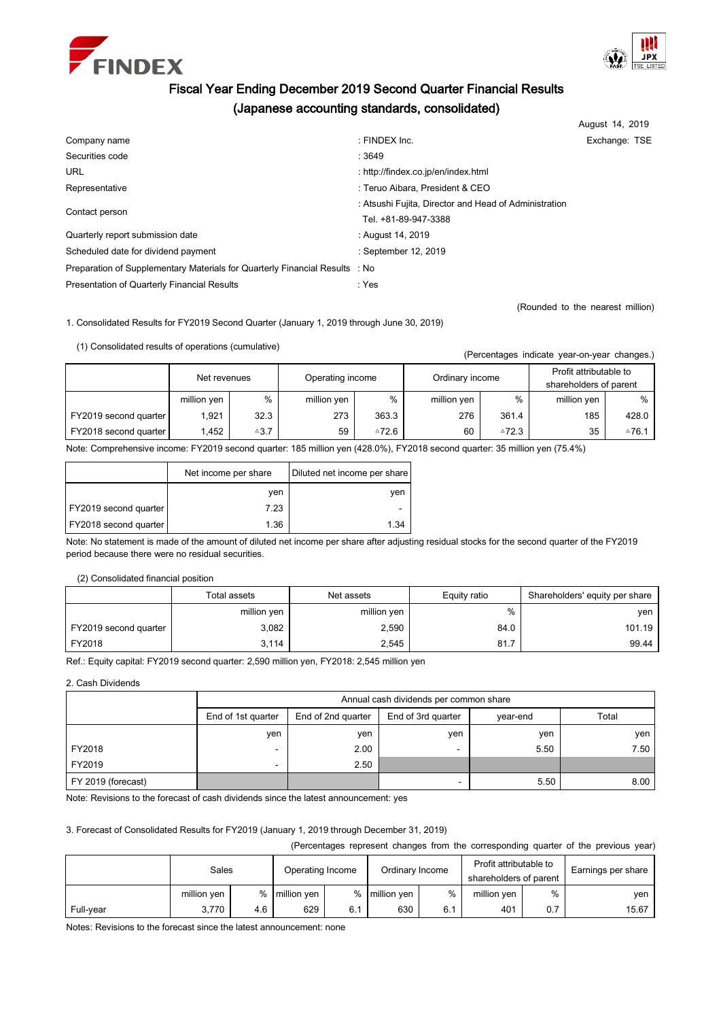



# Fiscal Year Ending December 2019 Second Quarter Financial Results (Japanese accounting standards, consolidated)

|                                                                             |                                                       | August 14, 2019 |  |
|-----------------------------------------------------------------------------|-------------------------------------------------------|-----------------|--|
| Company name                                                                | : FINDEX Inc.                                         | Exchange: TSE   |  |
| Securities code                                                             | : 3649                                                |                 |  |
| <b>URL</b>                                                                  | : http://findex.co.jp/en/index.html                   |                 |  |
| Representative                                                              | : Teruo Aibara, President & CEO                       |                 |  |
|                                                                             | : Atsushi Fujita, Director and Head of Administration |                 |  |
| Contact person                                                              | Tel. +81-89-947-3388                                  |                 |  |
| Quarterly report submission date                                            | : August 14, 2019                                     |                 |  |
| Scheduled date for dividend payment                                         | : September 12, 2019                                  |                 |  |
| Preparation of Supplementary Materials for Quarterly Financial Results : No |                                                       |                 |  |
| Presentation of Quarterly Financial Results                                 | : Yes                                                 |                 |  |

(Rounded to the nearest million)

(Percentages indicate year-on-year changes.)

1. Consolidated Results for FY2019 Second Quarter (January 1, 2019 through June 30, 2019)

(1) Consolidated results of operations (cumulative)

|                       | Net revenues |                 | Operating income |       | Ordinary income |       | Profit attributable to<br>shareholders of parent |                  |
|-----------------------|--------------|-----------------|------------------|-------|-----------------|-------|--------------------------------------------------|------------------|
|                       | million yen  | %               | million yen      | %     | million yen     | %     | million yen                                      | %                |
| FY2019 second quarter | 1.921        | 32.3            | 273              | 363.3 | 276             | 361.4 | 185                                              | 428.0            |
| FY2018 second quarter | 1.452        | $\triangle 3.7$ | 59               | ≙72.6 | 60              | △72.3 | 35                                               | $\triangle$ 76.1 |

Note: Comprehensive income: FY2019 second quarter: 185 million yen (428.0%), FY2018 second quarter: 35 million yen (75.4%)

|                       | Net income per share | Diluted net income per share |
|-----------------------|----------------------|------------------------------|
|                       | ven                  | ven                          |
| FY2019 second quarter | 7.23                 | ۰                            |
| FY2018 second quarter | 1.36                 | 1.34                         |

Note: No statement is made of the amount of diluted net income per share after adjusting residual stocks for the second quarter of the FY2019 period because there were no residual securities.

### (2) Consolidated financial position

|                       | Total assets | Net assets  | Equity ratio | Shareholders' equity per share |
|-----------------------|--------------|-------------|--------------|--------------------------------|
|                       | million yen  | million yen | %            | ven                            |
| FY2019 second quarter | 3,082        | 2,590       | 84.0         | 101.19                         |
| FY2018                | 3.114        | 2,545       | 81.7         | 99.44                          |

Ref.: Equity capital: FY2019 second quarter: 2,590 million yen, FY2018: 2,545 million yen

2. Cash Dividends

|                    | Annual cash dividends per common share |                    |                    |          |       |  |  |
|--------------------|----------------------------------------|--------------------|--------------------|----------|-------|--|--|
|                    | End of 1st quarter                     | End of 2nd quarter | End of 3rd quarter | year-end | Total |  |  |
|                    | yen                                    | yen                | ven                | ven      | ven   |  |  |
| FY2018             |                                        | 2.00               |                    | 5.50     | 7.50  |  |  |
| FY2019             |                                        | 2.50               |                    |          |       |  |  |
| FY 2019 (forecast) |                                        |                    | -                  | 5.50     | 8.00  |  |  |

Note: Revisions to the forecast of cash dividends since the latest announcement: yes

# 3. Forecast of Consolidated Results for FY2019 (January 1, 2019 through December 31, 2019)

(Percentages represent changes from the corresponding quarter of the previous year)

|           | Sales       |     | Operating Income |     | Ordinary Income |     | Profit attributable to<br>shareholders of parent |     | Earnings per share |
|-----------|-------------|-----|------------------|-----|-----------------|-----|--------------------------------------------------|-----|--------------------|
|           | million yen | %   | million yen      |     | % million yen   | %   | million yen                                      | %   | ven                |
| Full-year | 3.770       | 4.6 | 629              | 6.1 | 630             | 6.1 | 401                                              | 0.7 | 15.67              |

Notes: Revisions to the forecast since the latest announcement: none